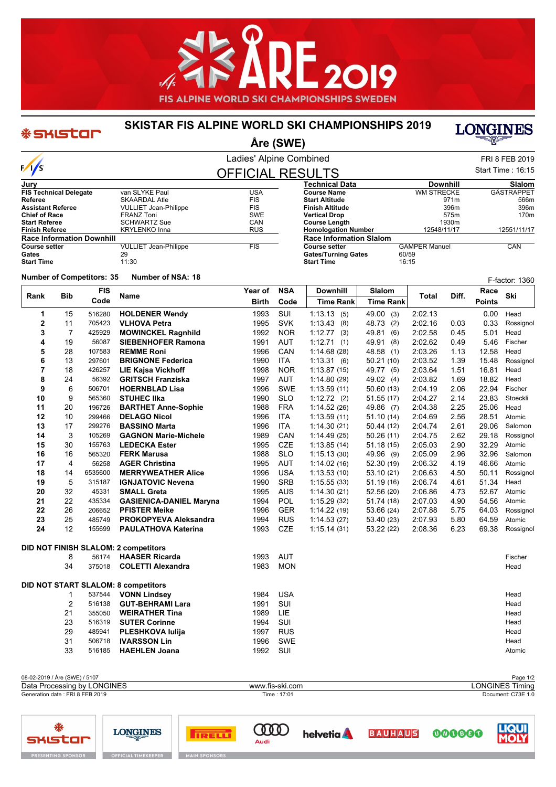

## **SKISTAR FIS ALPINE WORLD SKI CHAMPIONSHIPS 2019**

\* SKIStar



## **Åre (SWE)** Ladies' Alpine Combined FRI 8 FEB 2019  $\frac{1}{s}$ Start Time : 16:15 OFFICIAL RESULTS **Jury Technical Data Downhill Slalom FIS Technical Delegate** van SLYKE Paul **VALUATION VALUATION**<br>
Referee SKAARDAL Atle FIS **Course Name** WM STRECKE GÄSTRAPPET **Referee** SKAARDAL Atle FIS **Start Altitude** 971m 566m **Assume VULLIET Jean-Philippe FIS<br>FRANZ Toni FRANZ TONIC SWE Finish Altitude** 396m 396m **Chief of Race** FRANZ Toni **Chief of Race SEAL SWE**<br>
SCHWARTZ Sue **SCHWARTZ SUE** CAN **Vertical Drop** 575m 170m **Start Referee CAN**<br> **SCHWARTZ Sue CAN**<br> **SCHWARTZ SUE CANA CHILIBRE CANA CHILIBRE CANA CHILIBRE CANA CHILIBRE CANA CHILIBRE CANA CHILIBRE CANA CHILIBRE CAN**<br> **SCHWARTZ CANA CHILIBRE CANA CHILIBRE CHILIBRE CHILIBRE CHILIBR Course Length** 1930m **KRYLENKO Inna Homologation Number** 12548/11/17 12551/11/17 **Race Information Downhill Race Information Slalom COULLIET Jean-Philippe FIS**<br>
29 **CAMPER Manuel CAN**<br>60/59 **Gates/Turning Gates** 60/59<br>**Start Time** 16:15 Gates 29<br>**Start Time** 11:30 **Start Time Start Time Number of Competitors: <sup>35</sup> Number of NSA: <sup>18</sup>** F-factor: 1360 **FIS Year of NSA Downhill Slalom Race**<br> **Race Race Race Race Race Bib Ski Rank Name Total Diff. Code Birth** Code | Time Rank | Time Rank | Time Rank | Points **Code Time Rank Time Rank 1** 15 516280 **HOLDENER Wendy** 1993 SUI 1:13.13 (5) 49.00 (3) 2:02.13 0.00 Head **2** 11 705423 **VLHOVA Petra** 1995 SVK 1:13.43 (8) 48.73 (2) 2:02.16 0.03 0.33 Rossignol **3** 7 425929 **MOWINCKEL Ragnhild** 1992 NOR 1:12.77 (3) 49.81 (6) 2:02.58 0.45 5.01 Head **4** 19 56087 **SIEBENHOFER Ramona** 1991 AUT 1:12.71 (1) 49.91 (8) 2:02.62 0.49 5.46 Fischer **5** 28 107583 **REMME Roni** 1996 CAN 1:14.68 (28) 48.58 (1) 2:03.26 1.13 12.58 Head **6** 13 297601 **BRIGNONE Federica** 1990 ITA 1:13.31 (6) 50.21 (10) 2:03.52 1.39 15.48 Rossignol **7** 18 426257 **LIE Kajsa Vickhoff** 1998 NOR 1:13.87 (15) 49.77 (5) 2:03.64 1.51 16.81 Head **8** 24 56392 **GRITSCH Franziska** 1997 AUT 1:14.80 (29) 49.02 (4) 2:03.82 1.69 18.82 Head **9** 6 506701 **HOERNBLAD Lisa** 1996 SWE 1:13.59 (11) 50.60 (13) 2:04.19 2.06 22.94 Fischer **10** 9 565360 **STUHEC Ilka** 1990 SLO 1:12.72 (2) 51.55 (17) 2:04.27 2.14 23.83 Stoeckli **11** 20 196726 **BARTHET Anne-Sophie** 1988 FRA 1:14.52 (26) 49.86 (7) 2:04.38 2.25 25.06 Head **12** 10 299466 **DELAGO Nicol** 1996 ITA 1:13.59 (11) 51.10 (14) 2:04.69 2.56 28.51 Atomic **13** 17 299276 **BASSINO Marta** 1996 ITA 1:14.30 (21) 50.44 (12) 2:04.74 2.61 29.06 Salomon **14** 3 105269 **GAGNON Marie-Michele** 1989 CAN 1:14.49 (25) 50.26 (11) 2:04.75 2.62 29.18 Rossignol **15** 30 155763 **LEDECKA Ester** 1995 CZE 1:13.85 (14) 51.18 (15) 2:05.03 2.90 32.29 Atomic **16** 16 565320 **FERK Marusa** 1988 SLO 1:15.13 (30) 49.96 (9) 2:05.09 2.96 32.96 Salomon **17** 4 56258 **AGER Christina** 1995 AUT 1:14.02 (16) 52.30 (19) 2:06.32 4.19 46.66 Atomic **18** 14 6535600 **MERRYWEATHER Alice** 1996 USA 1:13.53 (10) 53.10 (21) 2:06.63 4.50 50.11 Rossignol **19** 5 315187 **IGNJATOVIC Nevena** 1990 SRB 1:15.55 (33) 51.19 (16) 2:06.74 4.61 51.34 Head **20** 32 45331 **SMALL Greta** 1995 AUS 1:14.30 (21) 52.56 (20) 2:06.86 4.73 52.67 Atomic **21** 22 435334 **GASIENICA-DANIEL Maryna** 1994 POL 1:15.29 (32) 51.74 (18) 2:07.03 4.90 54.56 Atomic **22** 26 206652 **PFISTER Meike** 1996 GER 1:14.22 (19) 53.66 (24) 2:07.88 5.75 64.03 Rossignol **23** 25 485749 **PROKOPYEVA Aleksandra** 1994 RUS 1:14.53 (27) 53.40 (23) 2:07.93 5.80 64.59 Atomic **24** 12 155699 **PAULATHOVA Katerina** 1993 CZE 1:15.14 (31) 53.22 (22) 2:08.36 6.23 69.38 Rossignol **DID NOT FINISH SLALOM: 2 competitors** 8 56174 **HAASER Ricarda** 1993 AUT Fischer 34 375018 **COLETTI Alexandra** 1983 MON Head **DID NOT START SLALOM: 8 competitors** 1 537544 **VONN Lindsey** 1984 USA Head 2 516138 **GUT-BEHRAMI Lara** 1991 SUI Head 21 355050 **WEIRATHER Tina** 1989 LIE Head 23 516319 **SUTER Corinne** 1994 SUI Head 29 485941 **PLESHKOVA Iulija** 1997 RUS Head 31 506718 **IVARSSON Lin** 1996 SWE Head 33 516185 **HAEHLEN Joana** 1992 SUI Atomic

| 08-02-2019 / Åre (SWE) / 5107    |                 | Page 1/2           |  |  |
|----------------------------------|-----------------|--------------------|--|--|
| Data Processing by LONGINES      | www.fis-ski.com | LONGINES Timing    |  |  |
| Generation date : FRI 8 FEB 2019 | Time: 17:01     | Document: C73E 1.0 |  |  |
|                                  |                 |                    |  |  |